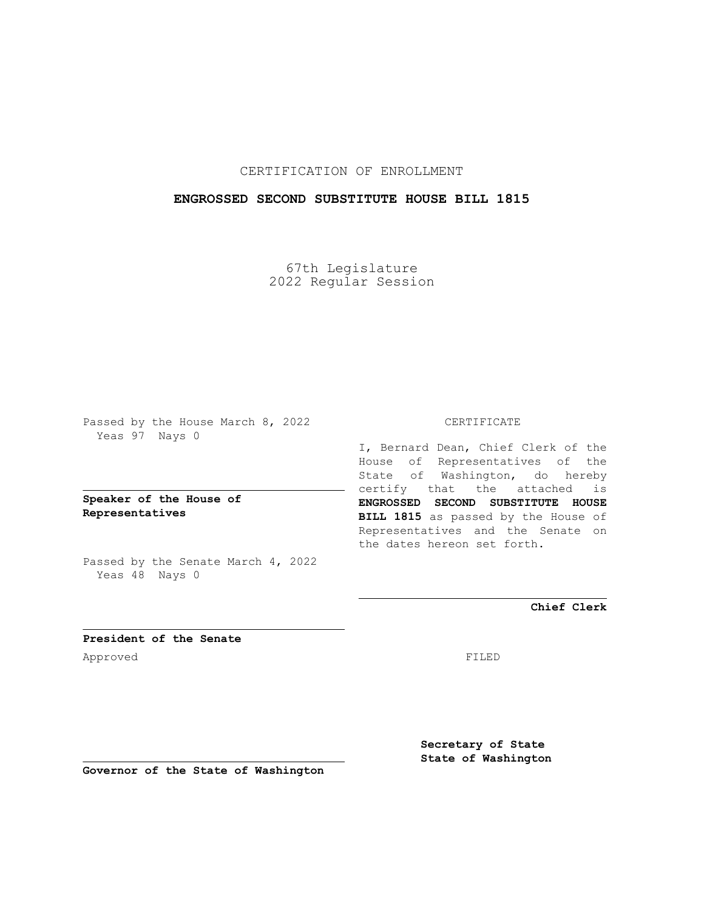## CERTIFICATION OF ENROLLMENT

## **ENGROSSED SECOND SUBSTITUTE HOUSE BILL 1815**

67th Legislature 2022 Regular Session

Passed by the House March 8, 2022 Yeas 97 Nays 0

**Speaker of the House of Representatives**

Passed by the Senate March 4, 2022 Yeas 48 Nays 0

#### CERTIFICATE

I, Bernard Dean, Chief Clerk of the House of Representatives of the State of Washington, do hereby certify that the attached is **ENGROSSED SECOND SUBSTITUTE HOUSE BILL 1815** as passed by the House of Representatives and the Senate on the dates hereon set forth.

**Chief Clerk**

**President of the Senate** Approved FILED

**Secretary of State State of Washington**

**Governor of the State of Washington**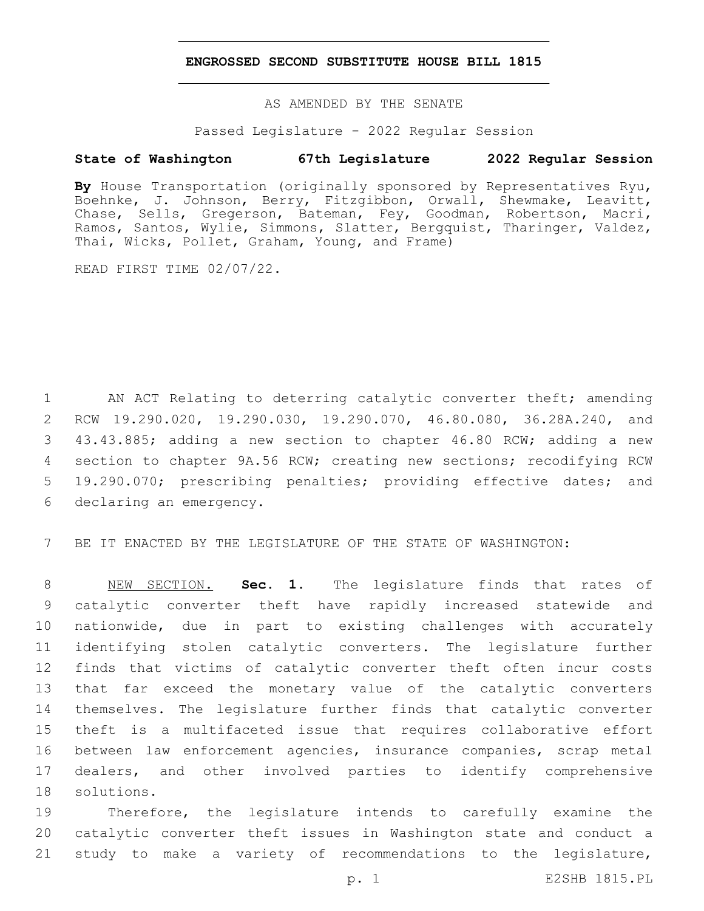### **ENGROSSED SECOND SUBSTITUTE HOUSE BILL 1815**

AS AMENDED BY THE SENATE

Passed Legislature - 2022 Regular Session

# **State of Washington 67th Legislature 2022 Regular Session**

**By** House Transportation (originally sponsored by Representatives Ryu, Boehnke, J. Johnson, Berry, Fitzgibbon, Orwall, Shewmake, Leavitt, Chase, Sells, Gregerson, Bateman, Fey, Goodman, Robertson, Macri, Ramos, Santos, Wylie, Simmons, Slatter, Bergquist, Tharinger, Valdez, Thai, Wicks, Pollet, Graham, Young, and Frame)

READ FIRST TIME 02/07/22.

1 AN ACT Relating to deterring catalytic converter theft; amending 2 RCW 19.290.020, 19.290.030, 19.290.070, 46.80.080, 36.28A.240, and 3 43.43.885; adding a new section to chapter 46.80 RCW; adding a new 4 section to chapter 9A.56 RCW; creating new sections; recodifying RCW 5 19.290.070; prescribing penalties; providing effective dates; and 6 declaring an emergency.

7 BE IT ENACTED BY THE LEGISLATURE OF THE STATE OF WASHINGTON:

 NEW SECTION. **Sec. 1.** The legislature finds that rates of catalytic converter theft have rapidly increased statewide and nationwide, due in part to existing challenges with accurately identifying stolen catalytic converters. The legislature further finds that victims of catalytic converter theft often incur costs that far exceed the monetary value of the catalytic converters themselves. The legislature further finds that catalytic converter theft is a multifaceted issue that requires collaborative effort between law enforcement agencies, insurance companies, scrap metal dealers, and other involved parties to identify comprehensive solutions.

19 Therefore, the legislature intends to carefully examine the 20 catalytic converter theft issues in Washington state and conduct a 21 study to make a variety of recommendations to the legislature,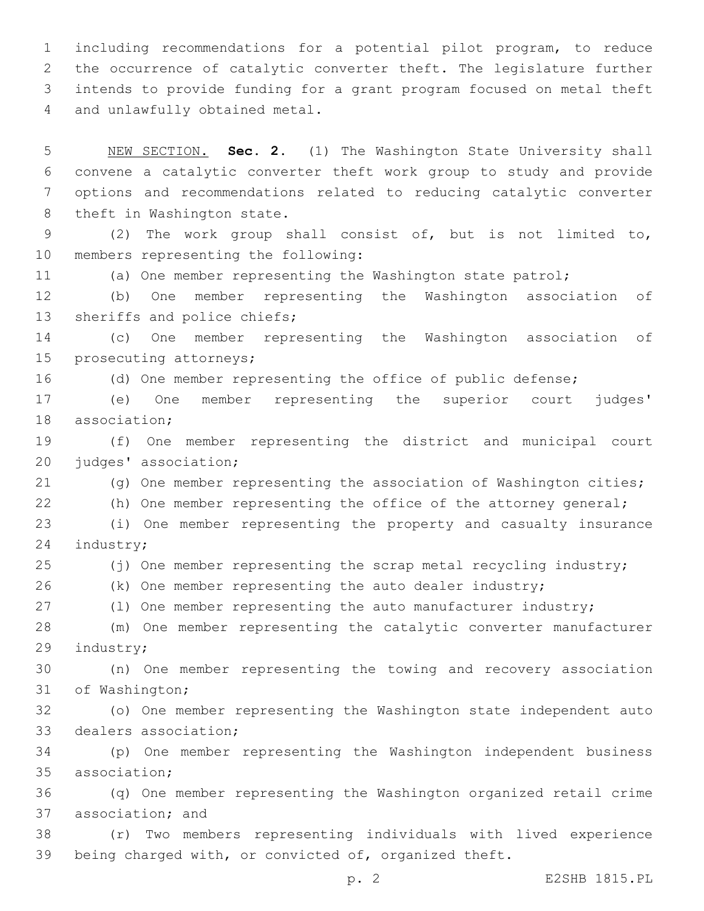including recommendations for a potential pilot program, to reduce the occurrence of catalytic converter theft. The legislature further intends to provide funding for a grant program focused on metal theft 4 and unlawfully obtained metal.

 NEW SECTION. **Sec. 2.** (1) The Washington State University shall convene a catalytic converter theft work group to study and provide options and recommendations related to reducing catalytic converter theft in Washington state. (2) The work group shall consist of, but is not limited to, 10 members representing the following: (a) One member representing the Washington state patrol; (b) One member representing the Washington association of 13 sheriffs and police chiefs; (c) One member representing the Washington association of 15 prosecuting attorneys; (d) One member representing the office of public defense; (e) One member representing the superior court judges' 18 association: (f) One member representing the district and municipal court 20 judges' association; (g) One member representing the association of Washington cities; (h) One member representing the office of the attorney general; (i) One member representing the property and casualty insurance 24 industry; (j) One member representing the scrap metal recycling industry; (k) One member representing the auto dealer industry; 27 (1) One member representing the auto manufacturer industry; (m) One member representing the catalytic converter manufacturer 29 industry; (n) One member representing the towing and recovery association 31 of Washington; (o) One member representing the Washington state independent auto 33 dealers association; (p) One member representing the Washington independent business 35 association; (q) One member representing the Washington organized retail crime 37 association; and (r) Two members representing individuals with lived experience being charged with, or convicted of, organized theft.

p. 2 E2SHB 1815.PL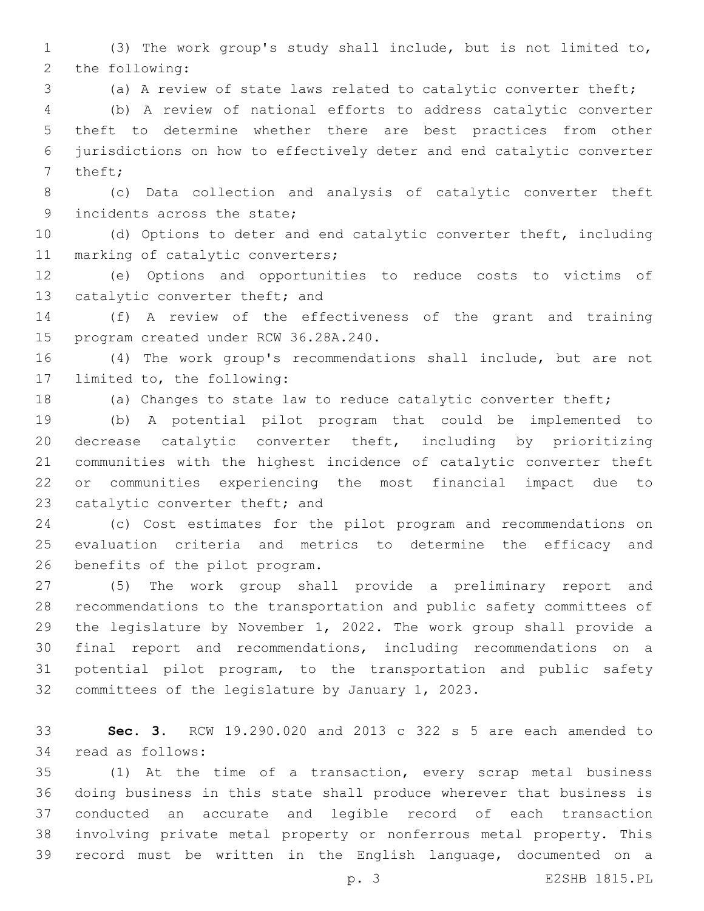(3) The work group's study shall include, but is not limited to, 2 the following:

(a) A review of state laws related to catalytic converter theft;

 (b) A review of national efforts to address catalytic converter theft to determine whether there are best practices from other jurisdictions on how to effectively deter and end catalytic converter 7 theft;

 (c) Data collection and analysis of catalytic converter theft 9 incidents across the state;

 (d) Options to deter and end catalytic converter theft, including 11 marking of catalytic converters;

 (e) Options and opportunities to reduce costs to victims of 13 catalytic converter theft; and

 (f) A review of the effectiveness of the grant and training 15 program created under RCW 36.28A.240.

 (4) The work group's recommendations shall include, but are not 17 limited to, the following:

(a) Changes to state law to reduce catalytic converter theft;

 (b) A potential pilot program that could be implemented to decrease catalytic converter theft, including by prioritizing communities with the highest incidence of catalytic converter theft or communities experiencing the most financial impact due to 23 catalytic converter theft; and

 (c) Cost estimates for the pilot program and recommendations on evaluation criteria and metrics to determine the efficacy and 26 benefits of the pilot program.

 (5) The work group shall provide a preliminary report and recommendations to the transportation and public safety committees of the legislature by November 1, 2022. The work group shall provide a final report and recommendations, including recommendations on a potential pilot program, to the transportation and public safety 32 committees of the legislature by January  $1, 2023$ .

 **Sec. 3.** RCW 19.290.020 and 2013 c 322 s 5 are each amended to 34 read as follows:

 (1) At the time of a transaction, every scrap metal business doing business in this state shall produce wherever that business is conducted an accurate and legible record of each transaction involving private metal property or nonferrous metal property. This record must be written in the English language, documented on a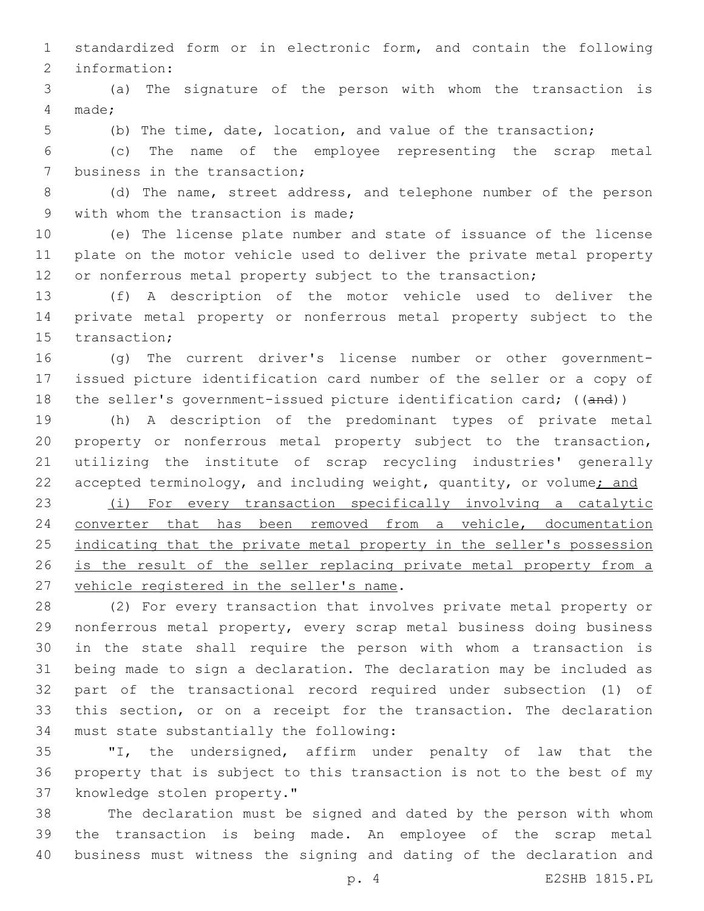standardized form or in electronic form, and contain the following 2 information:

 (a) The signature of the person with whom the transaction is made;4

(b) The time, date, location, and value of the transaction;

 (c) The name of the employee representing the scrap metal 7 business in the transaction;

 (d) The name, street address, and telephone number of the person 9 with whom the transaction is made;

 (e) The license plate number and state of issuance of the license plate on the motor vehicle used to deliver the private metal property 12 or nonferrous metal property subject to the transaction;

 (f) A description of the motor vehicle used to deliver the private metal property or nonferrous metal property subject to the 15 transaction;

 (g) The current driver's license number or other government- issued picture identification card number of the seller or a copy of 18 the seller's government-issued picture identification card; ((and))

 (h) A description of the predominant types of private metal property or nonferrous metal property subject to the transaction, utilizing the institute of scrap recycling industries' generally 22 accepted terminology, and including weight, quantity, or volume; and

 (i) For every transaction specifically involving a catalytic converter that has been removed from a vehicle, documentation 25 indicating that the private metal property in the seller's possession 26 is the result of the seller replacing private metal property from a 27 vehicle registered in the seller's name.

 (2) For every transaction that involves private metal property or nonferrous metal property, every scrap metal business doing business in the state shall require the person with whom a transaction is being made to sign a declaration. The declaration may be included as part of the transactional record required under subsection (1) of this section, or on a receipt for the transaction. The declaration 34 must state substantially the following:

 "I, the undersigned, affirm under penalty of law that the property that is subject to this transaction is not to the best of my 37 knowledge stolen property."

 The declaration must be signed and dated by the person with whom the transaction is being made. An employee of the scrap metal business must witness the signing and dating of the declaration and

p. 4 E2SHB 1815.PL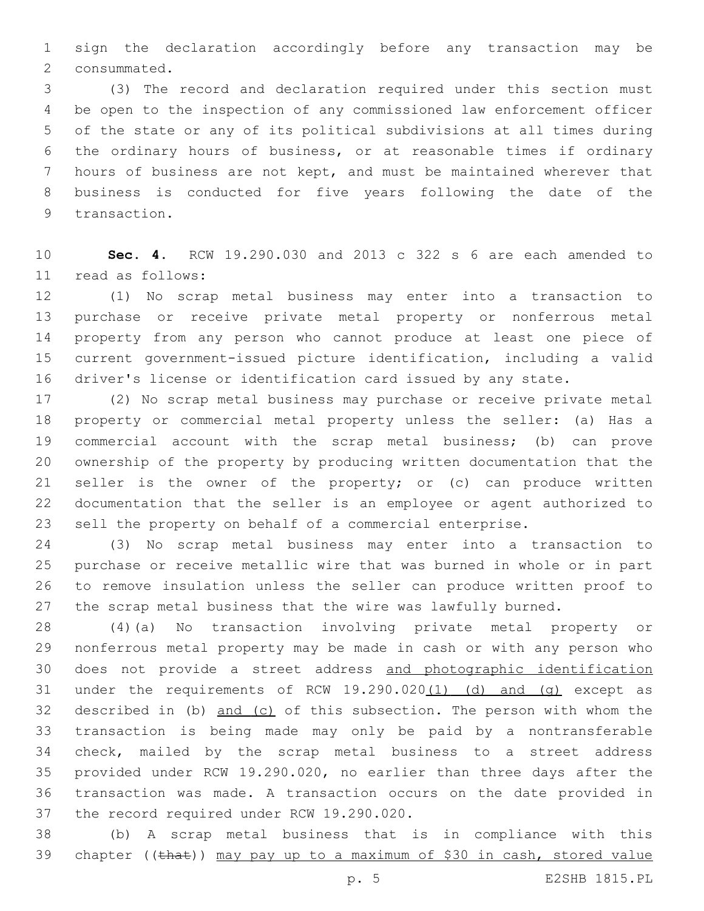sign the declaration accordingly before any transaction may be 2 consummated.

 (3) The record and declaration required under this section must be open to the inspection of any commissioned law enforcement officer of the state or any of its political subdivisions at all times during the ordinary hours of business, or at reasonable times if ordinary hours of business are not kept, and must be maintained wherever that business is conducted for five years following the date of the 9 transaction.

 **Sec. 4.** RCW 19.290.030 and 2013 c 322 s 6 are each amended to read as follows:11

 (1) No scrap metal business may enter into a transaction to purchase or receive private metal property or nonferrous metal property from any person who cannot produce at least one piece of current government-issued picture identification, including a valid driver's license or identification card issued by any state.

 (2) No scrap metal business may purchase or receive private metal property or commercial metal property unless the seller: (a) Has a commercial account with the scrap metal business; (b) can prove ownership of the property by producing written documentation that the seller is the owner of the property; or (c) can produce written documentation that the seller is an employee or agent authorized to sell the property on behalf of a commercial enterprise.

 (3) No scrap metal business may enter into a transaction to purchase or receive metallic wire that was burned in whole or in part to remove insulation unless the seller can produce written proof to the scrap metal business that the wire was lawfully burned.

 (4)(a) No transaction involving private metal property or nonferrous metal property may be made in cash or with any person who does not provide a street address and photographic identification 31 under the requirements of RCW 19.290.020(1) (d) and (g) except as described in (b) and (c) of this subsection. The person with whom the transaction is being made may only be paid by a nontransferable check, mailed by the scrap metal business to a street address provided under RCW 19.290.020, no earlier than three days after the transaction was made. A transaction occurs on the date provided in 37 the record required under RCW 19.290.020.

 (b) A scrap metal business that is in compliance with this 39 chapter ((that)) may pay up to a maximum of \$30 in cash, stored value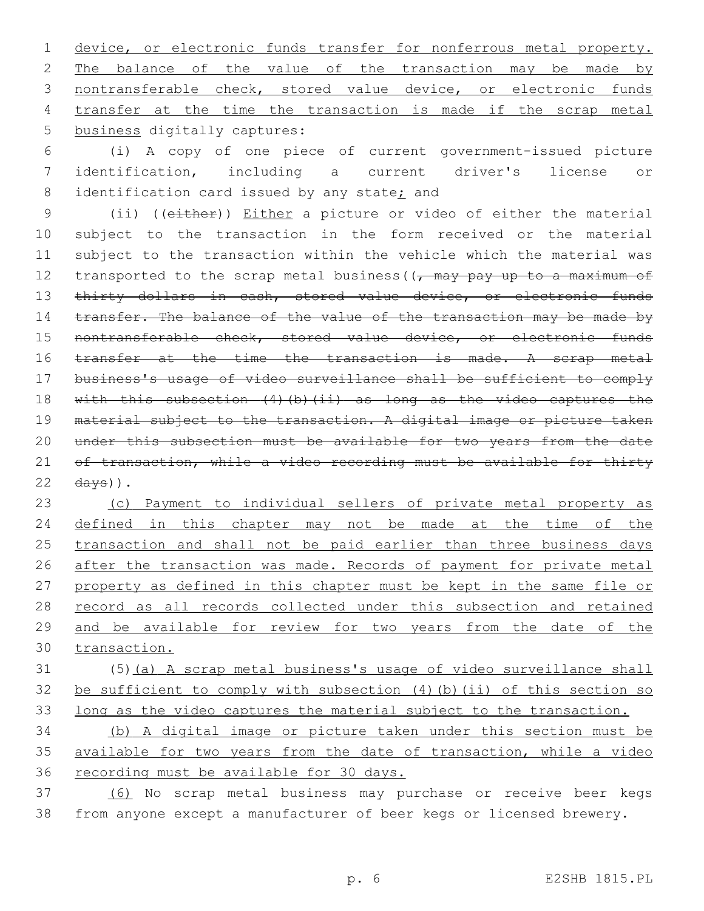1 device, or electronic funds transfer for nonferrous metal property. 2 The balance of the value of the transaction may be made by 3 nontransferable check, stored value device, or electronic funds 4 transfer at the time the transaction is made if the scrap metal 5 business digitally captures:

6 (i) A copy of one piece of current government-issued picture 7 identification, including a current driver's license or 8 identification card issued by any state; and

9 (ii) ((either)) Either a picture or video of either the material 10 subject to the transaction in the form received or the material 11 subject to the transaction within the vehicle which the material was 12 transported to the scrap metal business ( $\sqrt{r}$  may pay up to a maximum of 13 thirty dollars in cash, stored value device, or electronic funds 14 transfer. The balance of the value of the transaction may be made by 15 nontransferable check, stored value device, or electronic funds 16 transfer at the time the transaction is made. A scrap metal 17 business's usage of video surveillance shall be sufficient to comply 18 with this subsection (4)(b)(ii) as long as the video captures the 19 material subject to the transaction. A digital image or picture taken 20 under this subsection must be available for two years from the date 21 of transaction, while a video recording must be available for thirty  $22 \frac{days}{)$ .

23 (c) Payment to individual sellers of private metal property as 24 defined in this chapter may not be made at the time of the 25 transaction and shall not be paid earlier than three business days 26 after the transaction was made. Records of payment for private metal 27 property as defined in this chapter must be kept in the same file or 28 record as all records collected under this subsection and retained 29 and be available for review for two years from the date of the 30 transaction.

31 (5)(a) A scrap metal business's usage of video surveillance shall 32 be sufficient to comply with subsection (4)(b)(ii) of this section so 33 long as the video captures the material subject to the transaction.

34 (b) A digital image or picture taken under this section must be 35 available for two years from the date of transaction, while a video 36 recording must be available for 30 days.

37 (6) No scrap metal business may purchase or receive beer kegs 38 from anyone except a manufacturer of beer kegs or licensed brewery.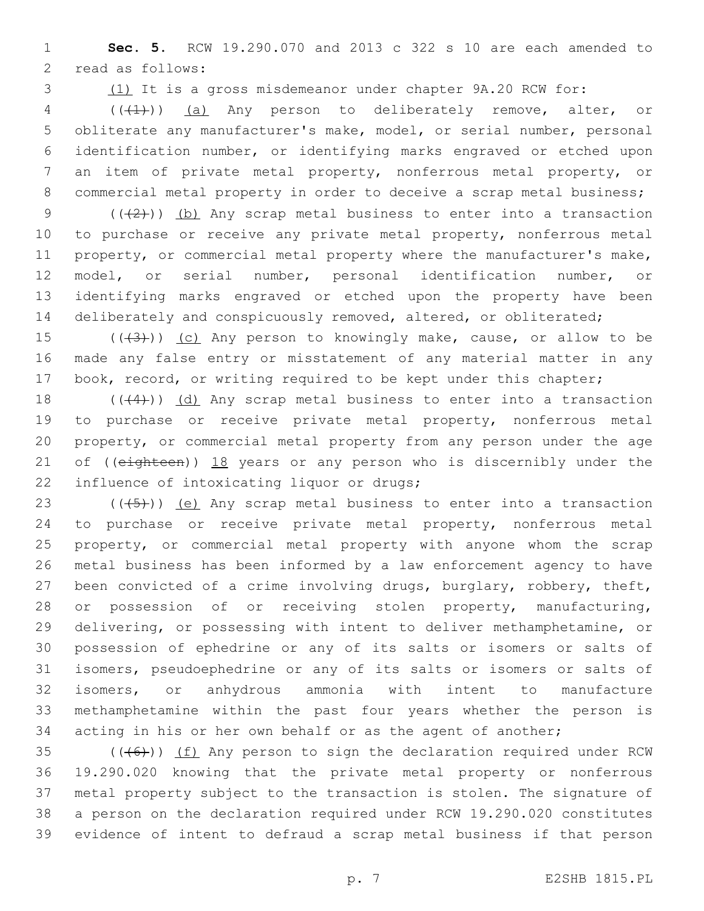**Sec. 5.** RCW 19.290.070 and 2013 c 322 s 10 are each amended to 2 read as follows:

(1) It is a gross misdemeanor under chapter 9A.20 RCW for:

 (((1))) (a) Any person to deliberately remove, alter, or obliterate any manufacturer's make, model, or serial number, personal identification number, or identifying marks engraved or etched upon an item of private metal property, nonferrous metal property, or commercial metal property in order to deceive a scrap metal business;

 $((2))$   $(b)$  Any scrap metal business to enter into a transaction to purchase or receive any private metal property, nonferrous metal property, or commercial metal property where the manufacturer's make, model, or serial number, personal identification number, or identifying marks engraved or etched upon the property have been deliberately and conspicuously removed, altered, or obliterated;

15  $((+3+))$  (c) Any person to knowingly make, cause, or allow to be made any false entry or misstatement of any material matter in any 17 book, record, or writing required to be kept under this chapter;

18  $((44))$   $(d)$  Any scrap metal business to enter into a transaction to purchase or receive private metal property, nonferrous metal property, or commercial metal property from any person under the age 21 of ((eighteen)) 18 years or any person who is discernibly under the 22 influence of intoxicating liquor or drugs;

 $((+5+))$  (e) Any scrap metal business to enter into a transaction to purchase or receive private metal property, nonferrous metal property, or commercial metal property with anyone whom the scrap metal business has been informed by a law enforcement agency to have been convicted of a crime involving drugs, burglary, robbery, theft, or possession of or receiving stolen property, manufacturing, delivering, or possessing with intent to deliver methamphetamine, or possession of ephedrine or any of its salts or isomers or salts of isomers, pseudoephedrine or any of its salts or isomers or salts of isomers, or anhydrous ammonia with intent to manufacture methamphetamine within the past four years whether the person is acting in his or her own behalf or as the agent of another;

35 (((+6))) (f) Any person to sign the declaration required under RCW 19.290.020 knowing that the private metal property or nonferrous metal property subject to the transaction is stolen. The signature of a person on the declaration required under RCW 19.290.020 constitutes evidence of intent to defraud a scrap metal business if that person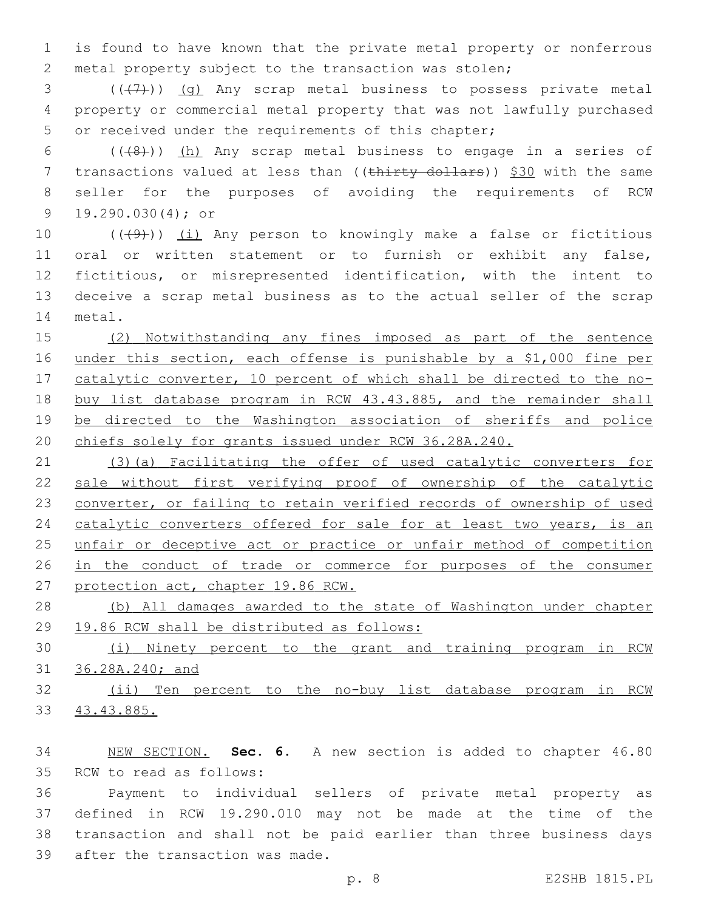is found to have known that the private metal property or nonferrous metal property subject to the transaction was stolen;

 ( $(\overline{+7})$ ) (g) Any scrap metal business to possess private metal property or commercial metal property that was not lawfully purchased or received under the requirements of this chapter;

6  $((+8))$  (h) Any scrap metal business to engage in a series of 7 transactions valued at less than ((thirty dollars)) \$30 with the same seller for the purposes of avoiding the requirements of RCW 9 19.290.030(4); or

 $((+9+))$  (i) Any person to knowingly make a false or fictitious oral or written statement or to furnish or exhibit any false, fictitious, or misrepresented identification, with the intent to deceive a scrap metal business as to the actual seller of the scrap 14 metal.

 (2) Notwithstanding any fines imposed as part of the sentence 16 under this section, each offense is punishable by a \$1,000 fine per catalytic converter, 10 percent of which shall be directed to the no- buy list database program in RCW 43.43.885, and the remainder shall be directed to the Washington association of sheriffs and police chiefs solely for grants issued under RCW 36.28A.240.

 (3)(a) Facilitating the offer of used catalytic converters for sale without first verifying proof of ownership of the catalytic converter, or failing to retain verified records of ownership of used catalytic converters offered for sale for at least two years, is an unfair or deceptive act or practice or unfair method of competition 26 in the conduct of trade or commerce for purposes of the consumer protection act, chapter 19.86 RCW.

 (b) All damages awarded to the state of Washington under chapter 19.86 RCW shall be distributed as follows:

 (i) Ninety percent to the grant and training program in RCW 36.28A.240; and

 (ii) Ten percent to the no-buy list database program in RCW 43.43.885.

 NEW SECTION. **Sec. 6.** A new section is added to chapter 46.80 35 RCW to read as follows:

 Payment to individual sellers of private metal property as defined in RCW 19.290.010 may not be made at the time of the transaction and shall not be paid earlier than three business days 39 after the transaction was made.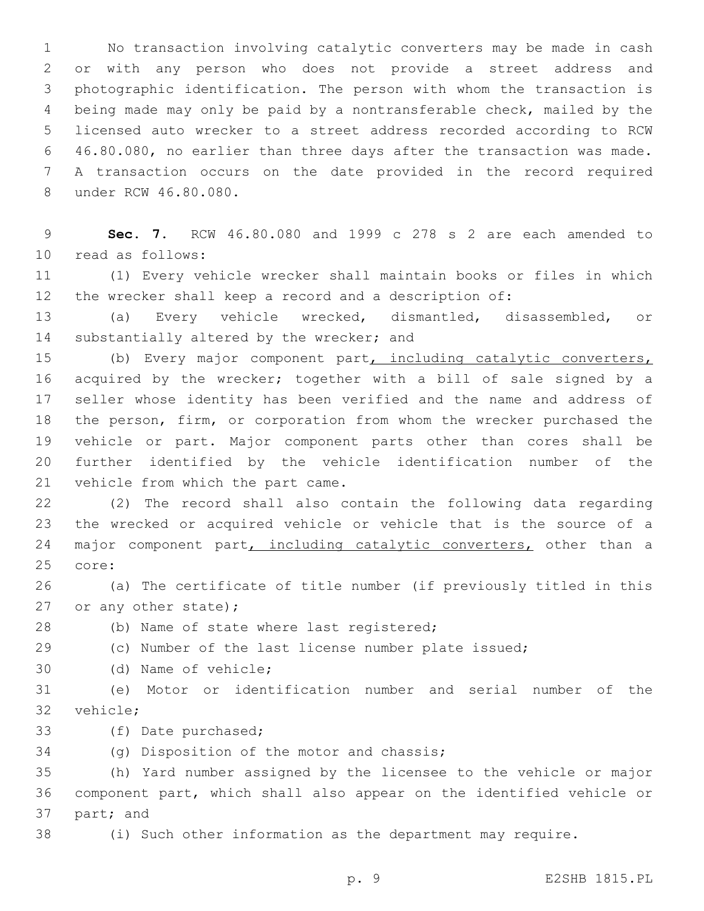No transaction involving catalytic converters may be made in cash or with any person who does not provide a street address and photographic identification. The person with whom the transaction is being made may only be paid by a nontransferable check, mailed by the licensed auto wrecker to a street address recorded according to RCW 46.80.080, no earlier than three days after the transaction was made. A transaction occurs on the date provided in the record required 8 under RCW 46.80.080.

 **Sec. 7.** RCW 46.80.080 and 1999 c 278 s 2 are each amended to 10 read as follows:

 (1) Every vehicle wrecker shall maintain books or files in which the wrecker shall keep a record and a description of:

 (a) Every vehicle wrecked, dismantled, disassembled, or 14 substantially altered by the wrecker; and

15 (b) Every major component part, including catalytic converters, acquired by the wrecker; together with a bill of sale signed by a seller whose identity has been verified and the name and address of the person, firm, or corporation from whom the wrecker purchased the vehicle or part. Major component parts other than cores shall be further identified by the vehicle identification number of the 21 vehicle from which the part came.

 (2) The record shall also contain the following data regarding the wrecked or acquired vehicle or vehicle that is the source of a 24 major component part, including catalytic converters, other than a 25 core:

 (a) The certificate of title number (if previously titled in this 27 or any other state);

28 (b) Name of state where last registered;

(c) Number of the last license number plate issued;

30 (d) Name of vehicle;

 (e) Motor or identification number and serial number of the 32 vehicle;

33 (f) Date purchased;

34 (g) Disposition of the motor and chassis;

 (h) Yard number assigned by the licensee to the vehicle or major component part, which shall also appear on the identified vehicle or 37 part; and

(i) Such other information as the department may require.

p. 9 E2SHB 1815.PL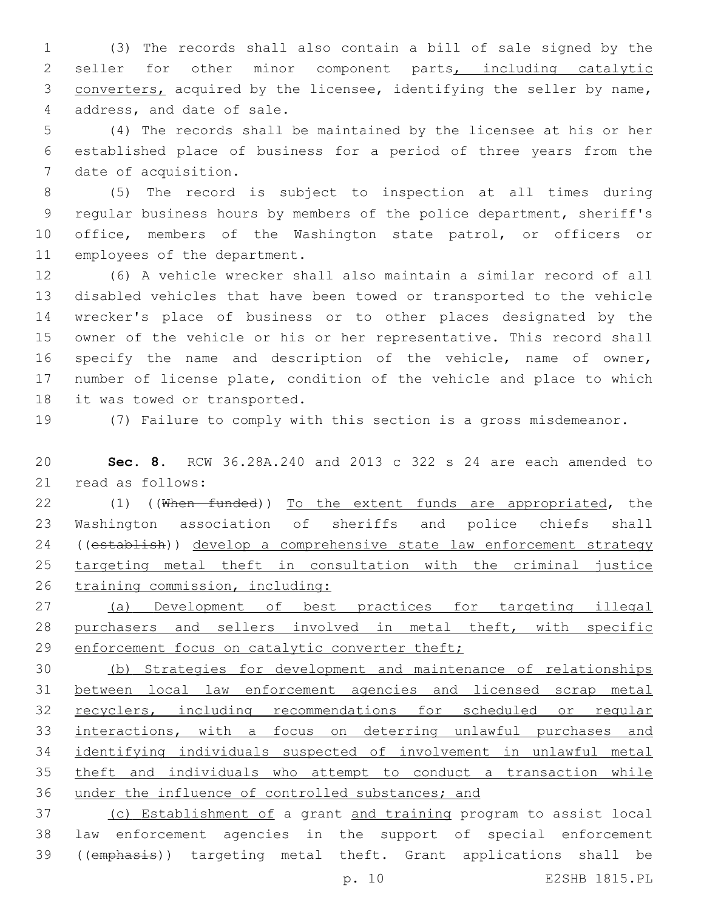(3) The records shall also contain a bill of sale signed by the 2 seller for other minor component parts, including catalytic converters, acquired by the licensee, identifying the seller by name, 4 address, and date of sale.

 (4) The records shall be maintained by the licensee at his or her established place of business for a period of three years from the 7 date of acquisition.

 (5) The record is subject to inspection at all times during regular business hours by members of the police department, sheriff's office, members of the Washington state patrol, or officers or 11 employees of the department.

 (6) A vehicle wrecker shall also maintain a similar record of all disabled vehicles that have been towed or transported to the vehicle wrecker's place of business or to other places designated by the owner of the vehicle or his or her representative. This record shall specify the name and description of the vehicle, name of owner, number of license plate, condition of the vehicle and place to which 18 it was towed or transported.

(7) Failure to comply with this section is a gross misdemeanor.

 **Sec. 8.** RCW 36.28A.240 and 2013 c 322 s 24 are each amended to 21 read as follows:

22 (1) ((When funded)) To the extent funds are appropriated, the Washington association of sheriffs and police chiefs shall 24 ((establish)) develop a comprehensive state law enforcement strategy targeting metal theft in consultation with the criminal justice training commission, including:

 (a) Development of best practices for targeting illegal purchasers and sellers involved in metal theft, with specific 29 enforcement focus on catalytic converter theft;

 (b) Strategies for development and maintenance of relationships between local law enforcement agencies and licensed scrap metal 32 recyclers, including recommendations for scheduled or regular interactions, with a focus on deterring unlawful purchases and identifying individuals suspected of involvement in unlawful metal theft and individuals who attempt to conduct a transaction while under the influence of controlled substances; and

 (c) Establishment of a grant and training program to assist local law enforcement agencies in the support of special enforcement ((emphasis)) targeting metal theft. Grant applications shall be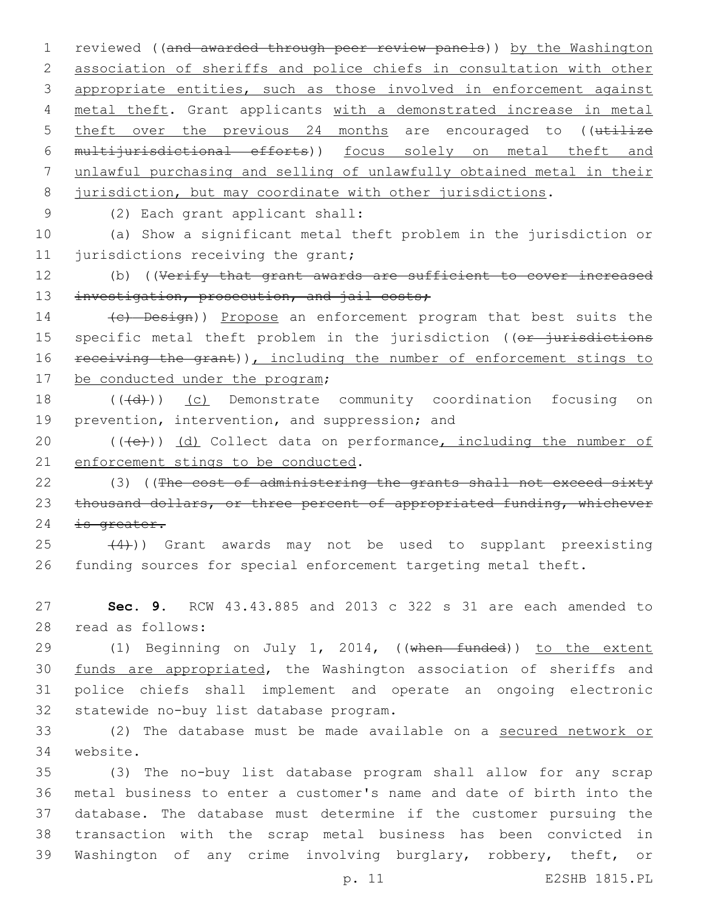1 reviewed ((and awarded through peer review panels)) by the Washington 2 association of sheriffs and police chiefs in consultation with other 3 appropriate entities, such as those involved in enforcement against 4 metal theft. Grant applicants with a demonstrated increase in metal 5 theft over the previous 24 months are encouraged to ((utilize 6 multijurisdictional efforts)) focus solely on metal theft and 7 unlawful purchasing and selling of unlawfully obtained metal in their 8 jurisdiction, but may coordinate with other jurisdictions.

(2) Each grant applicant shall:9

10 (a) Show a significant metal theft problem in the jurisdiction or 11 jurisdictions receiving the grant;

12 (b) ((Verify that grant awards are sufficient to cover increased 13 investigation, prosecution, and jail costs;

14 (c) Design)) Propose an enforcement program that best suits the 15 specific metal theft problem in the jurisdiction ((or jurisdictions 16 receiving the grant)), including the number of enforcement stings to 17 be conducted under the program;

18 (((d)) (c) Demonstrate community coordination focusing on 19 prevention, intervention, and suppression; and

20  $((+e))$   $(d)$  Collect data on performance, including the number of 21 enforcement stings to be conducted.

22 (3) ((The cost of administering the grants shall not exceed sixty 23 thousand dollars, or three percent of appropriated funding, whichever 24 is greater.

 $(4)$ )) Grant awards may not be used to supplant preexisting 26 funding sources for special enforcement targeting metal theft.

27 **Sec. 9.** RCW 43.43.885 and 2013 c 322 s 31 are each amended to 28 read as follows:

29 (1) Beginning on July 1, 2014, ((when funded)) to the extent 30 funds are appropriated, the Washington association of sheriffs and 31 police chiefs shall implement and operate an ongoing electronic 32 statewide no-buy list database program.

33 (2) The database must be made available on a secured network or 34 website.

 (3) The no-buy list database program shall allow for any scrap metal business to enter a customer's name and date of birth into the database. The database must determine if the customer pursuing the transaction with the scrap metal business has been convicted in Washington of any crime involving burglary, robbery, theft, or

p. 11 E2SHB 1815.PL